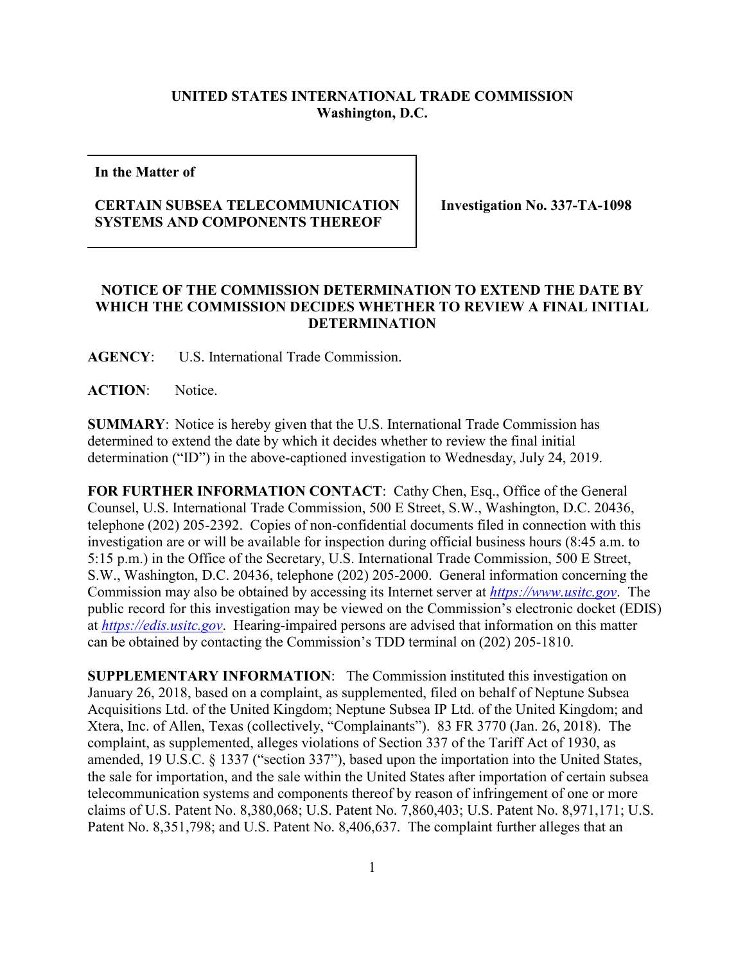## **UNITED STATES INTERNATIONAL TRADE COMMISSION Washington, D.C.**

**In the Matter of**

## **CERTAIN SUBSEA TELECOMMUNICATION SYSTEMS AND COMPONENTS THEREOF**

**Investigation No. 337-TA-1098**

## **NOTICE OF THE COMMISSION DETERMINATION TO EXTEND THE DATE BY WHICH THE COMMISSION DECIDES WHETHER TO REVIEW A FINAL INITIAL DETERMINATION**

**AGENCY**: U.S. International Trade Commission.

**ACTION**: Notice.

**SUMMARY**: Notice is hereby given that the U.S. International Trade Commission has determined to extend the date by which it decides whether to review the final initial determination ("ID") in the above-captioned investigation to Wednesday, July 24, 2019.

FOR FURTHER INFORMATION CONTACT: Cathy Chen, Esq., Office of the General Counsel, U.S. International Trade Commission, 500 E Street, S.W., Washington, D.C. 20436, telephone (202) 205-2392. Copies of non-confidential documents filed in connection with this investigation are or will be available for inspection during official business hours (8:45 a.m. to 5:15 p.m.) in the Office of the Secretary, U.S. International Trade Commission, 500 E Street, S.W., Washington, D.C. 20436, telephone (202) 205-2000. General information concerning the Commission may also be obtained by accessing its Internet server at *[https://www.usitc.gov](https://www.usitc.gov/)*. The public record for this investigation may be viewed on the Commission's electronic docket (EDIS) at *[https://edis.usitc.gov](https://edis.usitc.gov/)*. Hearing-impaired persons are advised that information on this matter can be obtained by contacting the Commission's TDD terminal on (202) 205-1810.

**SUPPLEMENTARY INFORMATION**: The Commission instituted this investigation on January 26, 2018, based on a complaint, as supplemented, filed on behalf of Neptune Subsea Acquisitions Ltd. of the United Kingdom; Neptune Subsea IP Ltd. of the United Kingdom; and Xtera, Inc. of Allen, Texas (collectively, "Complainants"). 83 FR 3770 (Jan. 26, 2018). The complaint, as supplemented, alleges violations of Section 337 of the Tariff Act of 1930, as amended, 19 U.S.C. § 1337 ("section 337"), based upon the importation into the United States, the sale for importation, and the sale within the United States after importation of certain subsea telecommunication systems and components thereof by reason of infringement of one or more claims of U.S. Patent No. 8,380,068; U.S. Patent No. 7,860,403; U.S. Patent No. 8,971,171; U.S. Patent No. 8,351,798; and U.S. Patent No. 8,406,637. The complaint further alleges that an